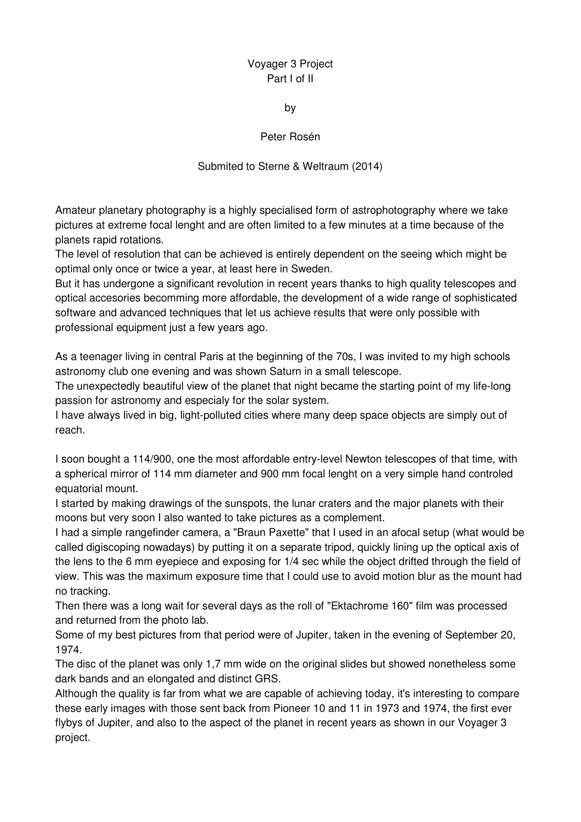## Voyager 3 Project Part I of II

by

Peter Rosén

## Submited to Sterne & Weltraum (2014)

Amateur planetary photography is a highly specialised form of astrophotography where we take pictures at extreme focal lenght and are often limited to a few minutes at a time because of the planets rapid rotations.

The level of resolution that can be achieved is entirely dependent on the seeing which might be optimal only once or twice a year, at least here in Sweden.

But it has undergone a significant revolution in recent years thanks to high quality telescopes and optical accesories becomming more affordable, the development of a wide range of sophisticated software and advanced techniques that let us achieve results that were only possible with professional equipment just a few years ago.

As a teenager living in central Paris at the beginning of the 70s, I was invited to my high schools astronomy club one evening and was shown Saturn in a small telescope.

The unexpectedly beautiful view of the planet that night became the starting point of my life-long passion for astronomy and especialy for the solar system.

I have always lived in big, light-polluted cities where many deep space objects are simply out of reach.

I soon bought a 114/900, one the most affordable entry-level Newton telescopes of that time, with a spherical mirror of 114 mm diameter and 900 mm focal lenght on a very simple hand controled equatorial mount.

I started by making drawings of the sunspots, the lunar craters and the major planets with their moons but very soon I also wanted to take pictures as a complement.

I had a simple rangefinder camera, a "Braun Paxette" that I used in an afocal setup (what would be called digiscoping nowadays) by putting it on a separate tripod, quickly lining up the optical axis of the lens to the 6 mm eyepiece and exposing for 1/4 sec while the object drifted through the field of view. This was the maximum exposure time that I could use to avoid motion blur as the mount had no tracking.

Then there was a long wait for several days as the roll of "Ektachrome 160" film was processed and returned from the photo lab.

Some of my best pictures from that period were of Jupiter, taken in the evening of September 20, 1974.

The disc of the planet was only 1,7 mm wide on the original slides but showed nonetheless some dark bands and an elongated and distinct GRS.

Although the quality is far from what we are capable of achieving today, it's interesting to compare these early images with those sent back from Pioneer 10 and 11 in 1973 and 1974, the first ever flybys of Jupiter, and also to the aspect of the planet in recent years as shown in our Voyager 3 project.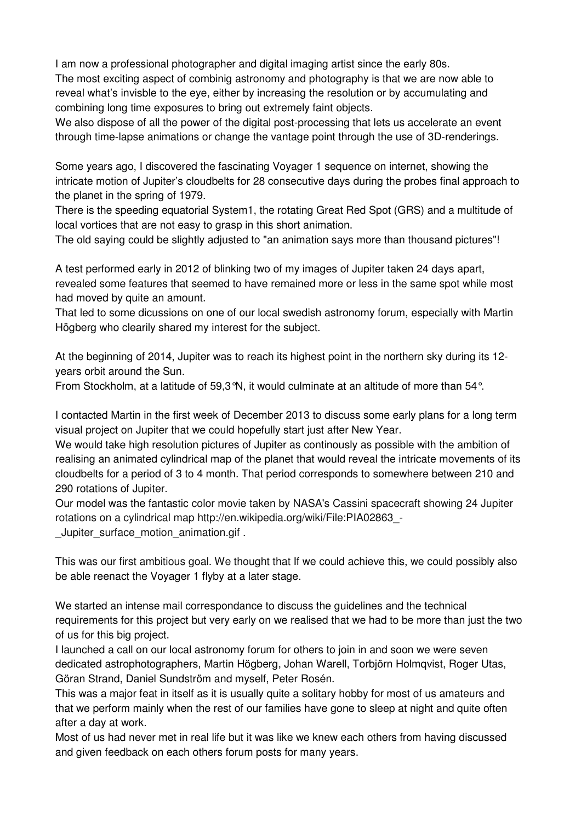I am now a professional photographer and digital imaging artist since the early 80s. The most exciting aspect of combinig astronomy and photography is that we are now able to reveal what's invisble to the eye, either by increasing the resolution or by accumulating and combining long time exposures to bring out extremely faint objects.

We also dispose of all the power of the digital post-processing that lets us accelerate an event through time-lapse animations or change the vantage point through the use of 3D-renderings.

Some years ago, I discovered the fascinating Voyager 1 sequence on internet, showing the intricate motion of Jupiter's cloudbelts for 28 consecutive days during the probes final approach to the planet in the spring of 1979.

There is the speeding equatorial System1, the rotating Great Red Spot (GRS) and a multitude of local vortices that are not easy to grasp in this short animation.

The old saying could be slightly adjusted to "an animation says more than thousand pictures"!

A test performed early in 2012 of blinking two of my images of Jupiter taken 24 days apart, revealed some features that seemed to have remained more or less in the same spot while most had moved by quite an amount.

That led to some dicussions on one of our local swedish astronomy forum, especially with Martin Högberg who clearily shared my interest for the subject.

At the beginning of 2014, Jupiter was to reach its highest point in the northern sky during its 12 years orbit around the Sun.

From Stockholm, at a latitude of 59,3°N, it would culminate at an altitude of more than 54°.

I contacted Martin in the first week of December 2013 to discuss some early plans for a long term visual project on Jupiter that we could hopefully start just after New Year.

We would take high resolution pictures of Jupiter as continously as possible with the ambition of realising an animated cylindrical map of the planet that would reveal the intricate movements of its cloudbelts for a period of 3 to 4 month. That period corresponds to somewhere between 210 and 290 rotations of Jupiter.

Our model was the fantastic color movie taken by NASA's Cassini spacecraft showing 24 Jupiter rotations on a cylindrical map http://en.wikipedia.org/wiki/File:PIA02863\_- \_Jupiter\_surface\_motion\_animation.gif .

This was our first ambitious goal. We thought that If we could achieve this, we could possibly also be able reenact the Voyager 1 flyby at a later stage.

We started an intense mail correspondance to discuss the guidelines and the technical requirements for this project but very early on we realised that we had to be more than just the two of us for this big project.

I launched a call on our local astronomy forum for others to join in and soon we were seven dedicated astrophotographers, Martin Högberg, Johan Warell, Torbjörn Holmqvist, Roger Utas, Göran Strand, Daniel Sundström and myself, Peter Rosén.

This was a major feat in itself as it is usually quite a solitary hobby for most of us amateurs and that we perform mainly when the rest of our families have gone to sleep at night and quite often after a day at work.

Most of us had never met in real life but it was like we knew each others from having discussed and given feedback on each others forum posts for many years.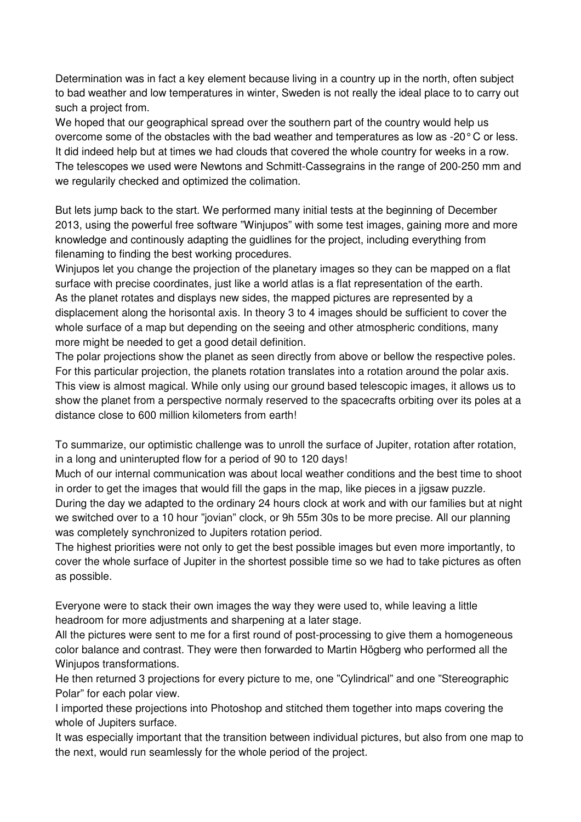Determination was in fact a key element because living in a country up in the north, often subject to bad weather and low temperatures in winter, Sweden is not really the ideal place to to carry out such a project from.

We hoped that our geographical spread over the southern part of the country would help us overcome some of the obstacles with the bad weather and temperatures as low as -20° C or less. It did indeed help but at times we had clouds that covered the whole country for weeks in a row. The telescopes we used were Newtons and Schmitt-Cassegrains in the range of 200-250 mm and we regularily checked and optimized the colimation.

But lets jump back to the start. We performed many initial tests at the beginning of December 2013, using the powerful free software "Winjupos" with some test images, gaining more and more knowledge and continously adapting the guidlines for the project, including everything from filenaming to finding the best working procedures.

Winjupos let you change the projection of the planetary images so they can be mapped on a flat surface with precise coordinates, just like a world atlas is a flat representation of the earth. As the planet rotates and displays new sides, the mapped pictures are represented by a displacement along the horisontal axis. In theory 3 to 4 images should be sufficient to cover the whole surface of a map but depending on the seeing and other atmospheric conditions, many more might be needed to get a good detail definition.

The polar projections show the planet as seen directly from above or bellow the respective poles. For this particular projection, the planets rotation translates into a rotation around the polar axis. This view is almost magical. While only using our ground based telescopic images, it allows us to show the planet from a perspective normaly reserved to the spacecrafts orbiting over its poles at a distance close to 600 million kilometers from earth!

To summarize, our optimistic challenge was to unroll the surface of Jupiter, rotation after rotation, in a long and uninterupted flow for a period of 90 to 120 days!

Much of our internal communication was about local weather conditions and the best time to shoot in order to get the images that would fill the gaps in the map, like pieces in a jigsaw puzzle.

During the day we adapted to the ordinary 24 hours clock at work and with our families but at night we switched over to a 10 hour "jovian" clock, or 9h 55m 30s to be more precise. All our planning was completely synchronized to Jupiters rotation period.

The highest priorities were not only to get the best possible images but even more importantly, to cover the whole surface of Jupiter in the shortest possible time so we had to take pictures as often as possible.

Everyone were to stack their own images the way they were used to, while leaving a little headroom for more adjustments and sharpening at a later stage.

All the pictures were sent to me for a first round of post-processing to give them a homogeneous color balance and contrast. They were then forwarded to Martin Högberg who performed all the Winjupos transformations.

He then returned 3 projections for every picture to me, one "Cylindrical" and one "Stereographic Polar" for each polar view.

I imported these projections into Photoshop and stitched them together into maps covering the whole of Jupiters surface.

It was especially important that the transition between individual pictures, but also from one map to the next, would run seamlessly for the whole period of the project.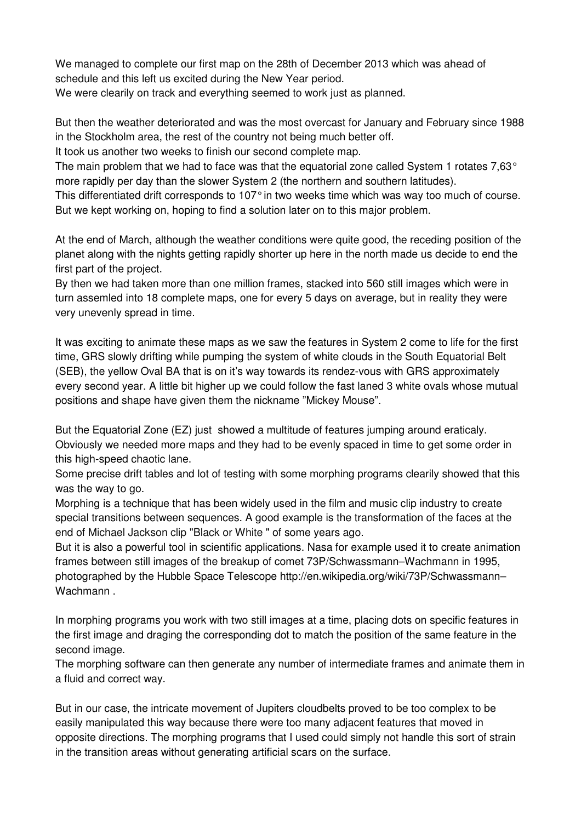We managed to complete our first map on the 28th of December 2013 which was ahead of schedule and this left us excited during the New Year period. We were clearily on track and everything seemed to work just as planned.

But then the weather deteriorated and was the most overcast for January and February since 1988 in the Stockholm area, the rest of the country not being much better off.

It took us another two weeks to finish our second complete map.

The main problem that we had to face was that the equatorial zone called System 1 rotates 7.63° more rapidly per day than the slower System 2 (the northern and southern latitudes).

This differentiated drift corresponds to 107° in two weeks time which was way too much of course. But we kept working on, hoping to find a solution later on to this major problem.

At the end of March, although the weather conditions were quite good, the receding position of the planet along with the nights getting rapidly shorter up here in the north made us decide to end the first part of the project.

By then we had taken more than one million frames, stacked into 560 still images which were in turn assemled into 18 complete maps, one for every 5 days on average, but in reality they were very unevenly spread in time.

It was exciting to animate these maps as we saw the features in System 2 come to life for the first time, GRS slowly drifting while pumping the system of white clouds in the South Equatorial Belt (SEB), the yellow Oval BA that is on it's way towards its rendez-vous with GRS approximately every second year. A little bit higher up we could follow the fast laned 3 white ovals whose mutual positions and shape have given them the nickname "Mickey Mouse".

But the Equatorial Zone (EZ) just showed a multitude of features jumping around eraticaly. Obviously we needed more maps and they had to be evenly spaced in time to get some order in this high-speed chaotic lane.

Some precise drift tables and lot of testing with some morphing programs clearily showed that this was the way to go.

Morphing is a technique that has been widely used in the film and music clip industry to create special transitions between sequences. A good example is the transformation of the faces at the end of Michael Jackson clip "Black or White " of some years ago.

But it is also a powerful tool in scientific applications. Nasa for example used it to create animation frames between still images of the breakup of comet 73P/Schwassmann–Wachmann in 1995, photographed by the Hubble Space Telescope http://en.wikipedia.org/wiki/73P/Schwassmann– Wachmann.

In morphing programs you work with two still images at a time, placing dots on specific features in the first image and draging the corresponding dot to match the position of the same feature in the second image.

The morphing software can then generate any number of intermediate frames and animate them in a fluid and correct way.

But in our case, the intricate movement of Jupiters cloudbelts proved to be too complex to be easily manipulated this way because there were too many adjacent features that moved in opposite directions. The morphing programs that I used could simply not handle this sort of strain in the transition areas without generating artificial scars on the surface.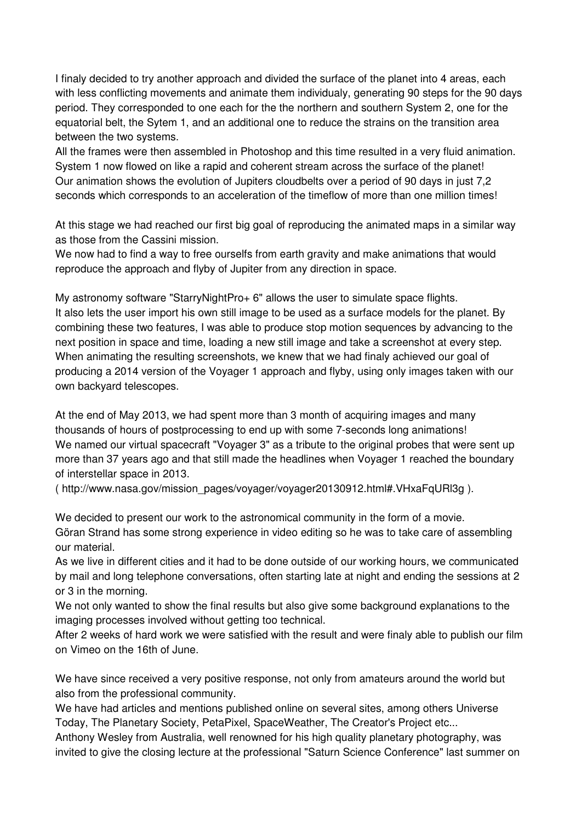I finaly decided to try another approach and divided the surface of the planet into 4 areas, each with less conflicting movements and animate them individualy, generating 90 steps for the 90 days period. They corresponded to one each for the the northern and southern System 2, one for the equatorial belt, the Sytem 1, and an additional one to reduce the strains on the transition area between the two systems.

All the frames were then assembled in Photoshop and this time resulted in a very fluid animation. System 1 now flowed on like a rapid and coherent stream across the surface of the planet! Our animation shows the evolution of Jupiters cloudbelts over a period of 90 days in just 7,2 seconds which corresponds to an acceleration of the timeflow of more than one million times!

At this stage we had reached our first big goal of reproducing the animated maps in a similar way as those from the Cassini mission.

We now had to find a way to free ourselfs from earth gravity and make animations that would reproduce the approach and flyby of Jupiter from any direction in space.

My astronomy software "StarryNightPro+ 6" allows the user to simulate space flights. It also lets the user import his own still image to be used as a surface models for the planet. By combining these two features, I was able to produce stop motion sequences by advancing to the next position in space and time, loading a new still image and take a screenshot at every step. When animating the resulting screenshots, we knew that we had finaly achieved our goal of producing a 2014 version of the Voyager 1 approach and flyby, using only images taken with our own backyard telescopes.

At the end of May 2013, we had spent more than 3 month of acquiring images and many thousands of hours of postprocessing to end up with some 7-seconds long animations! We named our virtual spacecraft "Voyager 3" as a tribute to the original probes that were sent up more than 37 years ago and that still made the headlines when Voyager 1 reached the boundary of interstellar space in 2013.

( http://www.nasa.gov/mission\_pages/voyager/voyager20130912.html#.VHxaFqURl3g ).

We decided to present our work to the astronomical community in the form of a movie. Göran Strand has some strong experience in video editing so he was to take care of assembling our material.

As we live in different cities and it had to be done outside of our working hours, we communicated by mail and long telephone conversations, often starting late at night and ending the sessions at 2 or 3 in the morning.

We not only wanted to show the final results but also give some background explanations to the imaging processes involved without getting too technical.

After 2 weeks of hard work we were satisfied with the result and were finaly able to publish our film on Vimeo on the 16th of June.

We have since received a very positive response, not only from amateurs around the world but also from the professional community.

We have had articles and mentions published online on several sites, among others Universe Today, The Planetary Society, PetaPixel, SpaceWeather, The Creator's Project etc...

Anthony Wesley from Australia, well renowned for his high quality planetary photography, was invited to give the closing lecture at the professional "Saturn Science Conference" last summer on